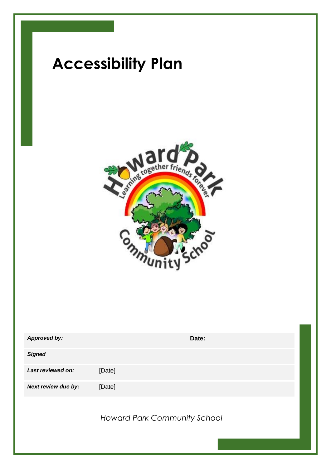

| <b>Approved by:</b> | Date:                               |
|---------------------|-------------------------------------|
| <b>Signed</b>       |                                     |
| Last reviewed on:   | [Date]                              |
| Next review due by: | [Date]                              |
|                     | <b>Howard Park Community School</b> |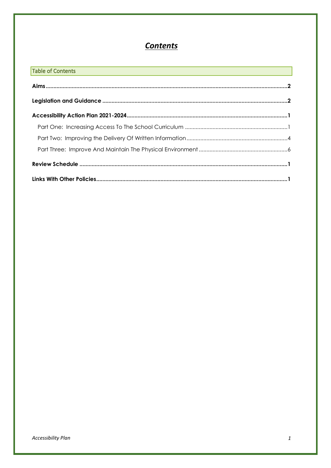# **Contents**

| Table of Contents<br><u> 1989 - Johann Stoff, amerikansk politiker (d. 1989)</u> |  |
|----------------------------------------------------------------------------------|--|
|                                                                                  |  |
|                                                                                  |  |
|                                                                                  |  |
|                                                                                  |  |
|                                                                                  |  |
|                                                                                  |  |
|                                                                                  |  |
|                                                                                  |  |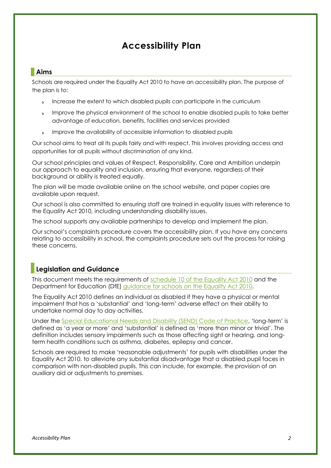#### <span id="page-2-0"></span>**Aims**

Schools are required under the Equality Act 2010 to have an accessibility plan. The purpose of the plan is to:

- Increase the extent to which disabled pupils can participate in the curriculum  $\ddot{\phantom{1}}$
- Improve the physical environment of the school to enable disabled pupils to take better  $\mathbf{S}$ advantage of education, benefits, facilities and services provided
- Improve the availability of accessible information to disabled pupils  $\mathbf{S}^{\mathcal{S}}$

Our school aims to treat all its pupils fairly and with respect. This involves providing access and opportunities for all pupils without discrimination of any kind.

Our school principles and values of Respect, Responsibility, Care and Ambition underpin our approach to equality and inclusion, ensuring that everyone, regardless of their background or ability is treated equally.

The plan will be made available online on the school website, and paper copies are available upon request.

Our school is also committed to ensuring staff are trained in equality issues with reference to the Equality Act 2010, including understanding disability issues.

The school supports any available partnerships to develop and implement the plan.

Our school's complaints procedure covers the accessibility plan. If you have any concerns relating to accessibility in school, the complaints procedure sets out the process for raising these concerns.

#### <span id="page-2-1"></span>**Legislation and Guidance**

This document meets the requirements of [schedule 10 of the Equality Act 2010](http://www.legislation.gov.uk/ukpga/2010/15/schedule/10) and the Department for Education (DfE) [guidance for schools on the Equality Act 2010.](https://www.gov.uk/government/publications/equality-act-2010-advice-for-schools)

The Equality Act 2010 defines an individual as disabled if they have a physical or mental impairment that has a 'substantial' and 'long-term' adverse effect on their ability to undertake normal day to day activities.

Under the [Special Educational Needs and Disability \(SEND\) Code of Practice](https://www.gov.uk/government/publications/send-code-of-practice-0-to-25), 'long-term' is defined as 'a year or more' and 'substantial' is defined as 'more than minor or trivial'. The definition includes sensory impairments such as those affecting sight or hearing, and longterm health conditions such as asthma, diabetes, epilepsy and cancer.

Schools are required to make 'reasonable adjustments' for pupils with disabilities under the Equality Act 2010, to alleviate any substantial disadvantage that a disabled pupil faces in comparison with non-disabled pupils. This can include, for example, the provision of an auxiliary aid or adjustments to premises.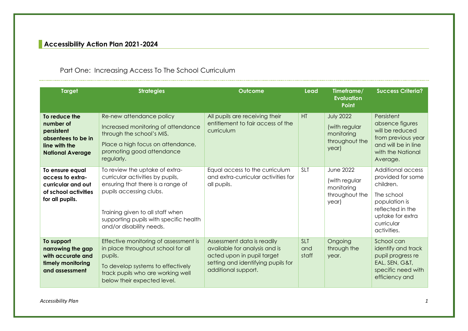## **Accessibility Action Plan 2021-2024**

## Part One: Increasing Access To The School Curriculum

<span id="page-3-1"></span><span id="page-3-0"></span>

| <b>Target</b>                                                                                              | <b>Strategies</b>                                                                                                                                                                                                                            | Outcome                                                                                                                                                | <b>Lead</b>                | Timeframe/<br><b>Evaluation</b><br><b>Point</b>                            | <b>Success Criteria?</b>                                                                                                                                |
|------------------------------------------------------------------------------------------------------------|----------------------------------------------------------------------------------------------------------------------------------------------------------------------------------------------------------------------------------------------|--------------------------------------------------------------------------------------------------------------------------------------------------------|----------------------------|----------------------------------------------------------------------------|---------------------------------------------------------------------------------------------------------------------------------------------------------|
| To reduce the<br>number of<br>persistent<br>absentees to be in<br>line with the<br><b>National Average</b> | Re-new attendance policy<br>Increased monitoring of attendance<br>through the school's MIS.<br>Place a high focus on attendance,<br>promoting good attendance<br>regularly.                                                                  | All pupils are receiving their<br>entitlement to fair access of the<br>curriculum                                                                      | HT                         | <b>July 2022</b><br>(with regular<br>monitoring<br>throughout the<br>year) | Persistent<br>absence figures<br>will be reduced<br>from previous year<br>and will be in line<br>with the National<br>Average.                          |
| To ensure equal<br>access to extra-<br>curricular and out<br>of school activities<br>for all pupils.       | To review the uptake of extra-<br>curricular activities by pupils,<br>ensuring that there is a range of<br>pupils accessing clubs.<br>Training given to all staff when<br>supporting pupils with specific health<br>and/or disability needs. | Equal access to the curriculum<br>and extra-curricular activities for<br>all pupils.                                                                   | <b>SLT</b>                 | <b>June 2022</b><br>(with regular<br>monitoring<br>throughout the<br>year) | Additional access<br>provided for some<br>children.<br>The school<br>population is<br>reflected in the<br>uptake for extra<br>curricular<br>activities. |
| To support<br>narrowing the gap<br>with accurate and<br>timely monitoring<br>and assessment                | Effective monitoring of assessment is<br>in place throughout school for all<br>pupils.<br>To develop systems to effectively<br>track pupils who are working well<br>below their expected level.                                              | Assessment data is readily<br>available for analysis and is<br>acted upon in pupil target<br>setting and identifying pupils for<br>additional support. | <b>SLT</b><br>and<br>staff | Ongoing<br>through the<br>year.                                            | School can<br>identify and track<br>pupil progress re<br>EAL, SEN, G&T,<br>specific need with<br>efficiency and                                         |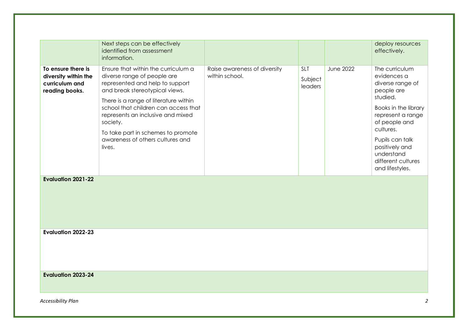|                                                                                | Next steps can be effectively<br>identified from assessment<br>information.                                                                                          |                                                |                                  |                  | deploy resources<br>effectively.                                                         |
|--------------------------------------------------------------------------------|----------------------------------------------------------------------------------------------------------------------------------------------------------------------|------------------------------------------------|----------------------------------|------------------|------------------------------------------------------------------------------------------|
| To ensure there is<br>diversity within the<br>curriculum and<br>reading books. | Ensure that within the curriculum a<br>diverse range of people are<br>represented and help to support<br>and break stereotypical views.                              | Raise awareness of diversity<br>within school. | <b>SLT</b><br>Subject<br>leaders | <b>June 2022</b> | The curriculum<br>evidences a<br>diverse range of<br>people are<br>studied.              |
|                                                                                | There is a range of literature within<br>school that children can access that<br>represents an inclusive and mixed<br>society.<br>To take part in schemes to promote |                                                |                                  |                  | Books in the library<br>represent a range<br>of people and<br>cultures.                  |
|                                                                                | awareness of others cultures and<br>lives.                                                                                                                           |                                                |                                  |                  | Pupils can talk<br>positively and<br>understand<br>different cultures<br>and lifestyles. |
| <b>Evaluation 2021-22</b>                                                      |                                                                                                                                                                      |                                                |                                  |                  |                                                                                          |
| <b>Evaluation 2022-23</b>                                                      |                                                                                                                                                                      |                                                |                                  |                  |                                                                                          |
| <b>Evaluation 2023-24</b>                                                      |                                                                                                                                                                      |                                                |                                  |                  |                                                                                          |
| Accessibility Plan                                                             |                                                                                                                                                                      |                                                |                                  |                  | 2                                                                                        |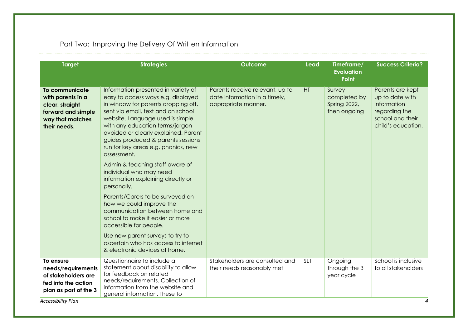## Part Two: Improving the Delivery Of Written Information

<span id="page-6-0"></span>

| <b>Target</b>                                                                                                    | <b>Strategies</b>                                                                                                                                                                                                                                                                                                                                                 | <b>Outcome</b>                                                                          | Lead       | Timeframe/<br><b>Evaluation</b><br><b>Point</b>        | <b>Success Criteria?</b>                                                                                      |
|------------------------------------------------------------------------------------------------------------------|-------------------------------------------------------------------------------------------------------------------------------------------------------------------------------------------------------------------------------------------------------------------------------------------------------------------------------------------------------------------|-----------------------------------------------------------------------------------------|------------|--------------------------------------------------------|---------------------------------------------------------------------------------------------------------------|
| To communicate<br>with parents in a<br>clear, straight<br>forward and simple<br>way that matches<br>their needs. | Information presented in variety of<br>easy to access ways e.g. displayed<br>in window for parents dropping off,<br>sent via email, text and on school<br>website. Language used is simple<br>with any education terms/jargon<br>avoided or clearly explained. Parent<br>guides produced & parents sessions<br>run for key areas e.g. phonics, new<br>assessment. | Parents receive relevant, up to<br>date information in a timely,<br>appropriate manner. | HT         | Survey<br>completed by<br>Spring 2022,<br>then ongoing | Parents are kept<br>up to date with<br>information<br>regarding the<br>school and their<br>child's education. |
|                                                                                                                  | Admin & teaching staff aware of<br>individual who may need<br>information explaining directly or<br>personally.                                                                                                                                                                                                                                                   |                                                                                         |            |                                                        |                                                                                                               |
|                                                                                                                  | Parents/Carers to be surveyed on<br>how we could improve the<br>communication between home and<br>school to make it easier or more<br>accessible for people.                                                                                                                                                                                                      |                                                                                         |            |                                                        |                                                                                                               |
|                                                                                                                  | Use new parent surveys to try to<br>ascertain who has access to internet<br>& electronic devices at home.                                                                                                                                                                                                                                                         |                                                                                         |            |                                                        |                                                                                                               |
| To ensure<br>needs/requirements<br>of stakeholders are<br>fed into the action<br>plan as part of the 3           | Questionnaire to include a<br>statement about disability to allow<br>for feedback on related<br>needs/requirements. Collection of<br>information from the website and<br>general information. These to                                                                                                                                                            | Stakeholders are consulted and<br>their needs reasonably met                            | <b>SLT</b> | Ongoing<br>through the 3<br>year cycle                 | School is inclusive<br>to all stakeholders                                                                    |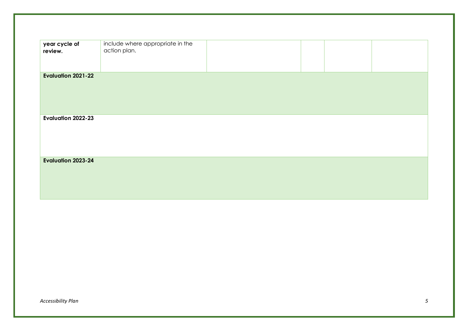| year cycle of<br>review.  | include where appropriate in the<br>action plan. |  |  |
|---------------------------|--------------------------------------------------|--|--|
| <b>Evaluation 2021-22</b> |                                                  |  |  |
| <b>Evaluation 2022-23</b> |                                                  |  |  |
| <b>Evaluation 2023-24</b> |                                                  |  |  |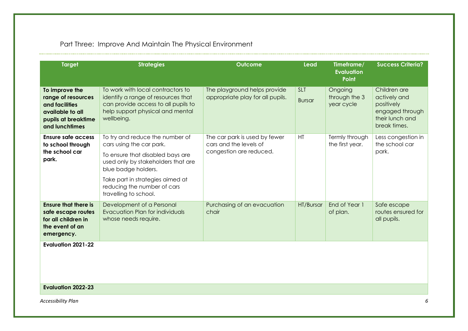## Part Three: Improve And Maintain The Physical Environment

<span id="page-8-0"></span>

| <b>Target</b>                                                                                                                          | <b>Strategies</b>                                                                                                                                                                                                                                        | <b>Outcome</b>                                                                     | <b>Lead</b>                 | Timeframe/<br><b>Evaluation</b><br><b>Point</b> | <b>Success Criteria?</b>                                                                         |
|----------------------------------------------------------------------------------------------------------------------------------------|----------------------------------------------------------------------------------------------------------------------------------------------------------------------------------------------------------------------------------------------------------|------------------------------------------------------------------------------------|-----------------------------|-------------------------------------------------|--------------------------------------------------------------------------------------------------|
| To improve the<br>range of resources<br>and facilities<br>available to all<br>pupils at breaktime<br>and lunchtimes                    | To work with local contractors to<br>identify a range of resources that<br>can provide access to all pupils to<br>help support physical and mental<br>wellbeing.                                                                                         | The playground helps provide<br>appropriate play for all pupils.                   | <b>SLT</b><br><b>Bursar</b> | Ongoing<br>through the 3<br>year cycle          | Children are<br>actively and<br>positively<br>engaged through<br>their lunch and<br>break times. |
| <b>Ensure safe access</b><br>to school through<br>the school car<br>park.                                                              | To try and reduce the number of<br>cars using the car park.<br>To ensure that disabled bays are<br>used only by stakeholders that are<br>blue badge holders.<br>Take part in strategies aimed at<br>reducing the number of cars<br>travelling to school. | The car park is used by fewer<br>cars and the levels of<br>congestion are reduced. | HT                          | Termly through<br>the first year.               | Less congestion in<br>the school car<br>park.                                                    |
| <b>Ensure that there is</b><br>safe escape routes<br>for all children in<br>the event of an<br>emergency.<br><b>Evaluation 2021-22</b> | Development of a Personal<br>Evacuation Plan for individuals<br>whose needs require.                                                                                                                                                                     | Purchasing of an evacuation<br>chair                                               | HT/Bursar                   | End of Year 1<br>of plan.                       | Safe escape<br>routes ensured for<br>all pupils.                                                 |
| <b>Evaluation 2022-23</b>                                                                                                              |                                                                                                                                                                                                                                                          |                                                                                    |                             |                                                 |                                                                                                  |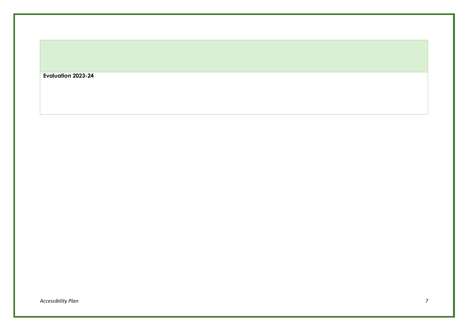| Evaluation 2023-24 |  |  |
|--------------------|--|--|
|--------------------|--|--|